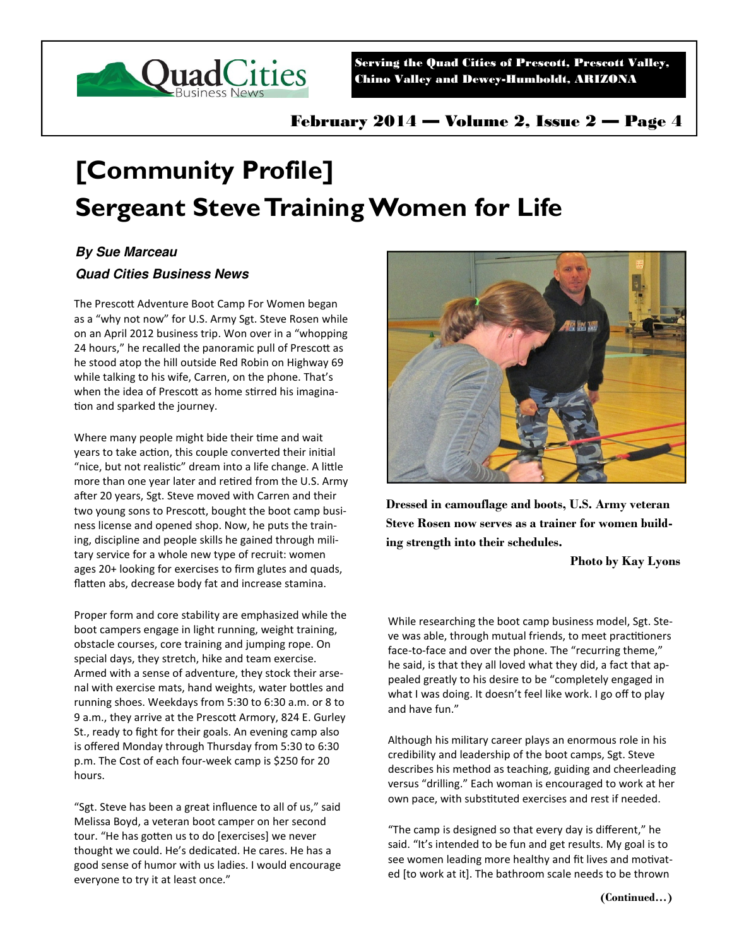

Serving the Quad Cities of Prescott, Prescott Valley, Chino Valley and Dewey-Humboldt, ARIZONA

# **[Community Profile] Sergeant Steve Training Women for Life**

## **By Sue Marceau**

### **Quad Cities Business News**

The Presco Adventure Boot Camp For Women began as a "why not now" for U.S. Army Sgt. Steve Rosen while on an April 2012 business trip. Won over in a "whopping 24 hours," he recalled the panoramic pull of Prescott as he stood atop the hill outside Red Robin on Highway 69 while talking to his wife, Carren, on the phone. That's when the idea of Prescott as home stirred his imagination and sparked the journey.

Where many people might bide their time and wait years to take action, this couple converted their initial "nice, but not realistic" dream into a life change. A little more than one year later and retired from the U.S. Army after 20 years, Sgt. Steve moved with Carren and their two young sons to Prescott, bought the boot camp business license and opened shop. Now, he puts the training, discipline and people skills he gained through military service for a whole new type of recruit: women ages 20+ looking for exercises to firm glutes and quads, flatten abs, decrease body fat and increase stamina.

Proper form and core stability are emphasized while the boot campers engage in light running, weight training, obstacle courses, core training and jumping rope. On special days, they stretch, hike and team exercise. Armed with a sense of adventure, they stock their arsenal with exercise mats, hand weights, water bo les and running shoes. Weekdays from 5:30 to 6:30 a.m. or 8 to 9 a.m., they arrive at the Prescott Armory, 824 E. Gurley St., ready to fight for their goals. An evening camp also is offered Monday through Thursday from 5:30 to 6:30 p.m. The Cost of each four-week camp is \$250 for 20 hours.

"Sgt. Steve has been a great influence to all of us," said Melissa Boyd, a veteran boot camper on her second tour. "He has gotten us to do [exercises] we never thought we could. He's dedicated. He cares. He has a good sense of humor with us ladies. I would encourage everyone to try it at least once."



**Dressed in camouflage and boots, U.S. Army veteran Steve Rosen now serves as a trainer for women building strength into their schedules.** 

#### **Photo by Kay Lyons**

While researching the boot camp business model, Sgt. Steve was able, through mutual friends, to meet practitioners face-to-face and over the phone. The "recurring theme," he said, is that they all loved what they did, a fact that appealed greatly to his desire to be "completely engaged in what I was doing. It doesn't feel like work. I go off to play and have fun."

Although his military career plays an enormous role in his credibility and leadership of the boot camps, Sgt. Steve describes his method as teaching, guiding and cheerleading versus "drilling." Each woman is encouraged to work at her own pace, with substituted exercises and rest if needed.

"The camp is designed so that every day is different," he said. "It's intended to be fun and get results. My goal is to see women leading more healthy and fit lives and motivated [to work at it]. The bathroom scale needs to be thrown